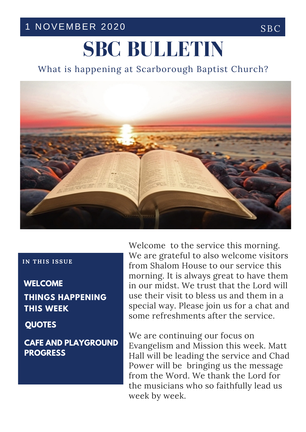## 1 NOVEMBER 2020 SBC

# **SBC BULLETIN**

What is happening at Scarborough Baptist Church?



#### **IN T H IS ISSUE**

**THINGS HAPPENING THIS WEEK WELCOME**

**QUOTES**

**CAFE AND PLAYGROUND PROGRESS**

Welcome to the service this morning. We are grateful to also welcome visitors from Shalom House to our service this morning. It is always great to have them in our midst. We trust that the Lord will use their visit to bless us and them in a special way. Please join us for a chat and some refreshments after the service.

We are continuing our focus on Evangelism and Mission this week. Matt Hall will be leading the service and Chad Power will be bringing us the message from the Word. We thank the Lord for the musicians who so faithfully lead us week by week.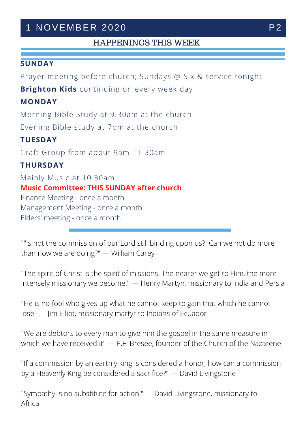## 1 NOVEMBER 2020

### HAPPENINGS THIS WEEK

#### **SUNDAY**

Prayer meeting before church; Sundays @ Six & service tonight

**Brighton Kids** continuing on every week day

#### **MONDAY**

Morning Bible Study at 9.30am at the church Evening Bible study at 7pm at the church

#### **TUESDAY**

Craft Group from about 9am-11.30am

#### **THURSDAY**

Mainly Music at 10.30am **Music Committee: THIS SUNDAY after church** Finance Meeting - once a month Management Meeting - once a month Elders' meeting - once a month

""Is not the commission of our Lord still binding upon us? Can we not do more than now we are doing?" — William Carey

"The spirit of Christ is the spirit of missions. The nearer we get to Him, the more intensely missionary we become." — Henry Martyn, missionary to India and Persia

"He is no fool who gives up what he cannot keep to gain that which he cannot lose" — Jim Elliot, missionary martyr to Indians of Ecuador

"We are debtors to every man to give him the gospel in the same measure in which we have received it" - P.F. Bresee, founder of the Church of the Nazarene

"If a commission by an earthly king is considered a honor, how can a commission by a Heavenly King be considered a sacrifice?" — David Livingstone

"Sympathy is no substitute for action." — David Livingstone, missionary to Africa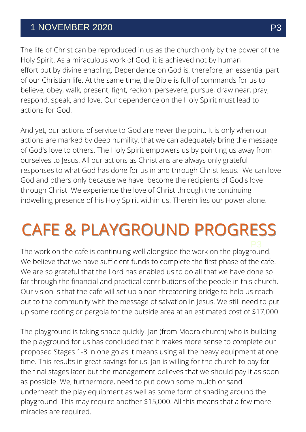## 1 NOVEMBER 2020 P3

The life of Christ can be reproduced in us as the church only by the power of the Holy Spirit. As a miraculous work of God, it is achieved not by human effort but by divine enabling. Dependence on God is, therefore, an essential part of our Christian life. At the same time, the Bible is full of commands for us to believe, obey, walk, present, fight, reckon, persevere, pursue, draw near, pray, respond, speak, and love. Our dependence on the Holy Spirit must lead to actions for God.

And yet, our actions of service to God are never the point. It is only when our actions are marked by deep humility, that we can adequately bring the message of God's love to others. The Holy Spirit empowers us by pointing us away from ourselves to Jesus. All our actions as Christians are always only grateful responses to what God has done for us in and through Christ Jesus. We can love God and others only because we have become the recipients of God's love through Christ. We experience the love of Christ through the continuing indwelling presence of his Holy Spirit within us. Therein lies our power alone.

## CAFE & PLAYGROUND PROGRESS

The work on the cafe is continuing well alongside the work on the playground. We believe that we have sufficient funds to complete the first phase of the cafe. We are so grateful that the Lord has enabled us to do all that we have done so far through the financial and practical contributions of the people in this church. Our vision is that the cafe will set up a non-threatening bridge to help us reach out to the community with the message of salvation in Jesus. We still need to put up some roofing or pergola for the outside area at an estimated cost of \$17,000.

The playground is taking shape quickly. Jan (from Moora church) who is building the playground for us has concluded that it makes more sense to complete our proposed Stages 1-3 in one go as it means using all the heavy equipment at one time. This results in great savings for us. Jan is willing for the church to pay for the final stages later but the management believes that we should pay it as soon as possible. We, furthermore, need to put down some mulch or sand underneath the play equipment as well as some form of shading around the playground. This may require another \$15,000. All this means that a few more miracles are required.